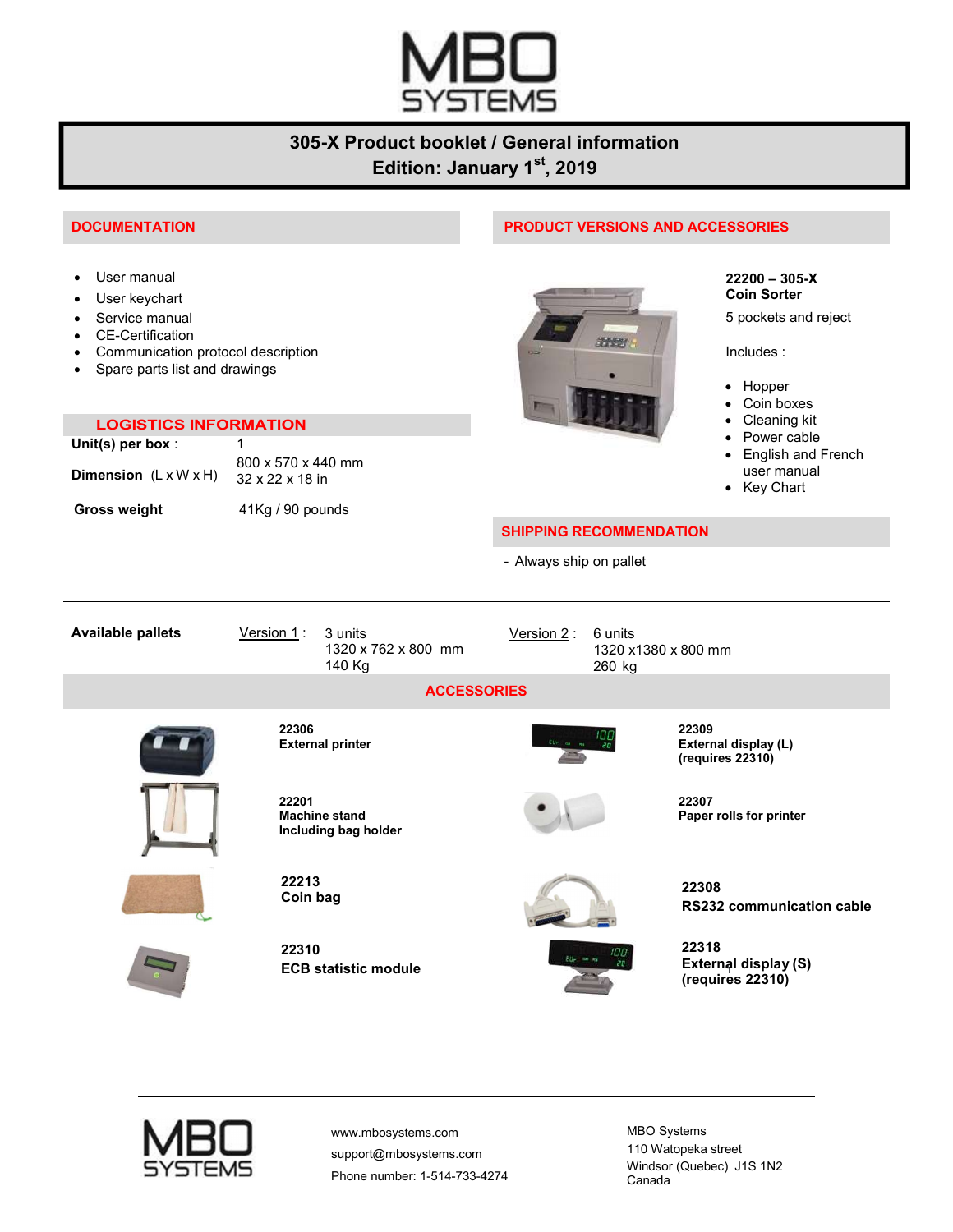

## 305-X Product booklet / General information Edition: January 1st, 2019

- 
- 
- Service manual
- CE-Certification
- Communication protocol description
- Spare parts list and drawings

| <b>LOGISTICS INFORMATION</b>             |                                                   |  |
|------------------------------------------|---------------------------------------------------|--|
| Unit(s) per box :                        |                                                   |  |
| <b>Dimension</b> $(L \times W \times H)$ | 800 x 570 x 440 mm<br>$32 \times 22 \times 18$ in |  |
| <b>Gross weight</b>                      | $41$ Kg / 90 pounds                               |  |

#### DOCUMENTATION PRODUCT VERSIONS AND ACCESSORIES



5 pockets and reject

Includes :

- Hopper
- Coin boxes
- Cleaning kit
- Power cable
- English and French user manual
- Key Chart

#### SHIPPING RECOMMENDATION

- Always ship on pallet

Available pallets Version 1: 3 units 1320 x 762 x 800 mm 140 Kg Version 2: 6 units 1320 x1380 x 800 mm 260 kg **ACCESSORIES** 22306 External printer 22309 External display (L) (requires 22310) 22201 Machine stand Including bag holder 22307 Paper rolls for printer



22213

22310 ECB statistic module



RS232 communication cable

22318 External display (S) (requires 22310)



www.mbosystems.com support@mbosystems.com Phone number: 1-514-733-4274 MBO Systems 110 Watopeka street Windsor (Quebec) J1S 1N2 Canada